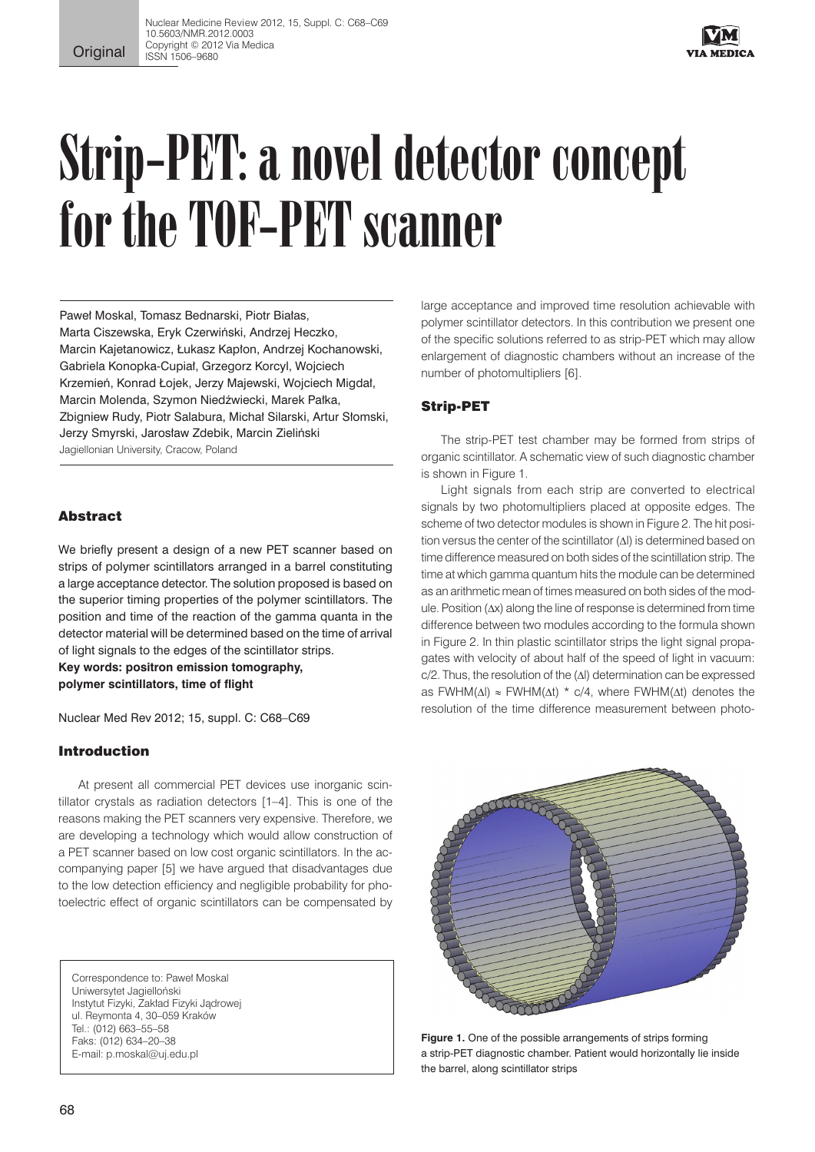

# Strip-PET: a novel detector concept for the TOF-PET scanner

Paweł Moskal, Tomasz Bednarski, Piotr Białas, Marta Ciszewska, Eryk Czerwiński, Andrzej Heczko, Marcin Kajetanowicz, Łukasz Kapłon, Andrzej Kochanowski, Gabriela Konopka-Cupiał, Grzegorz Korcyl, Wojciech Krzemień, Konrad Łojek, Jerzy Majewski, Wojciech Migdał, Marcin Molenda, Szymon Niedźwiecki, Marek Pałka, Zbigniew Rudy, Piotr Salabura, Michał Silarski, Artur Słomski, Jerzy Smyrski, Jarosław Zdebik, Marcin Zieliński Jagiellonian University, Cracow, Poland

# Abstract

We briefly present a design of a new PET scanner based on strips of polymer scintillators arranged in a barrel constituting a large acceptance detector. The solution proposed is based on the superior timing properties of the polymer scintillators. The position and time of the reaction of the gamma quanta in the detector material will be determined based on the time of arrival of light signals to the edges of the scintillator strips. **Key words: positron emission tomography,** 

**polymer scintillators, time of flight**

Nuclear Med Rev 2012; 15, suppl. C: C68–C69

# Introduction

At present all commercial PET devices use inorganic scintillator crystals as radiation detectors [1–4]. This is one of the reasons making the PET scanners very expensive. Therefore, we are developing a technology which would allow construction of a PET scanner based on low cost organic scintillators. In the accompanying paper [5] we have argued that disadvantages due to the low detection efficiency and negligible probability for photoelectric effect of organic scintillators can be compensated by

Correspondence to: Paweł Moskal Uniwersytet Jagielloński Instytut Fizyki, Zakład Fizyki Jądrowej ul. Reymonta 4, 30–059 Kraków Tel.: (012) 663–55–58 Faks: (012) 634–20–38 E-mail: p.moskal@uj.edu.pl

large acceptance and improved time resolution achievable with polymer scintillator detectors. In this contribution we present one of the specific solutions referred to as strip-PET which may allow enlargement of diagnostic chambers without an increase of the number of photomultipliers [6].

# Strip-PET

The strip-PET test chamber may be formed from strips of organic scintillator. A schematic view of such diagnostic chamber is shown in Figure 1.

Light signals from each strip are converted to electrical signals by two photomultipliers placed at opposite edges. The scheme of two detector modules is shown in Figure 2. The hit position versus the center of the scintillator (∆l) is determined based on time difference measured on both sides of the scintillation strip. The time at which gamma quantum hits the module can be determined as an arithmetic mean of times measured on both sides of the module. Position (∆x) along the line of response is determined from time difference between two modules according to the formula shown in Figure 2. In thin plastic scintillator strips the light signal propagates with velocity of about half of the speed of light in vacuum: c/2. Thus, the resolution of the (∆l) determination can be expressed as FWHM( $\Delta I$ ) ≈ FWHM( $\Delta t$ ) \* c/4, where FWHM( $\Delta t$ ) denotes the resolution of the time difference measurement between photo-



Figure 1. One of the possible arrangements of strips forming a strip-PET diagnostic chamber. Patient would horizontally lie inside the barrel, along scintillator strips